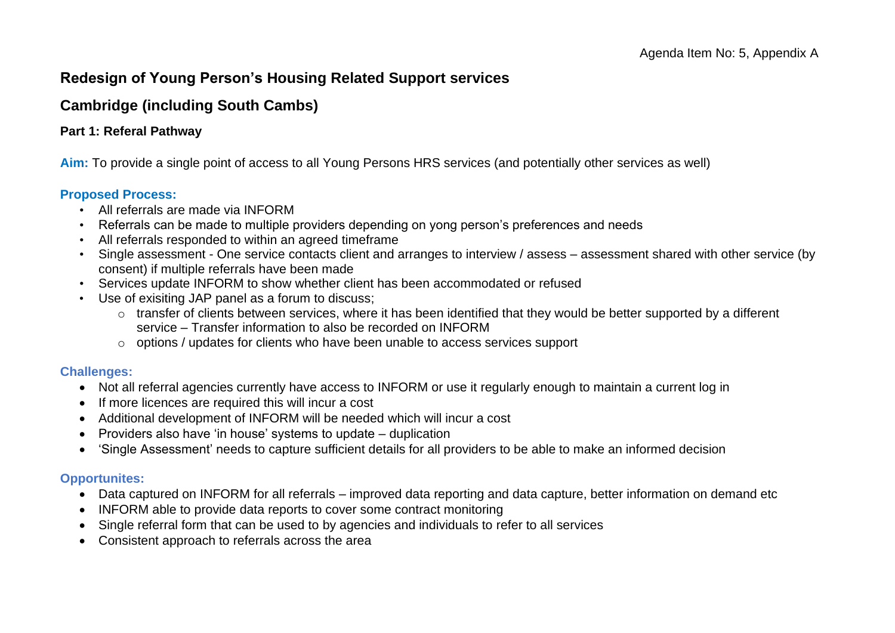# **Redesign of Young Person's Housing Related Support services**

# **Cambridge (including South Cambs)**

### **Part 1: Referal Pathway**

**Aim:** To provide a single point of access to all Young Persons HRS services (and potentially other services as well)

#### **Proposed Process:**

- All referrals are made via INFORM
- Referrals can be made to multiple providers depending on yong person's preferences and needs
- All referrals responded to within an agreed timeframe
- Single assessment One service contacts client and arranges to interview / assess assessment shared with other service (by consent) if multiple referrals have been made
- Services update INFORM to show whether client has been accommodated or refused
- Use of exisiting JAP panel as a forum to discuss;
	- o transfer of clients between services, where it has been identified that they would be better supported by a different service – Transfer information to also be recorded on INFORM
	- o options / updates for clients who have been unable to access services support

### **Challenges:**

- Not all referral agencies currently have access to INFORM or use it regularly enough to maintain a current log in
- If more licences are required this will incur a cost
- Additional development of INFORM will be needed which will incur a cost
- Providers also have 'in house' systems to update duplication
- 'Single Assessment' needs to capture sufficient details for all providers to be able to make an informed decision

### **Opportunites:**

- Data captured on INFORM for all referrals improved data reporting and data capture, better information on demand etc
- INFORM able to provide data reports to cover some contract monitoring
- Single referral form that can be used to by agencies and individuals to refer to all services
- Consistent approach to referrals across the area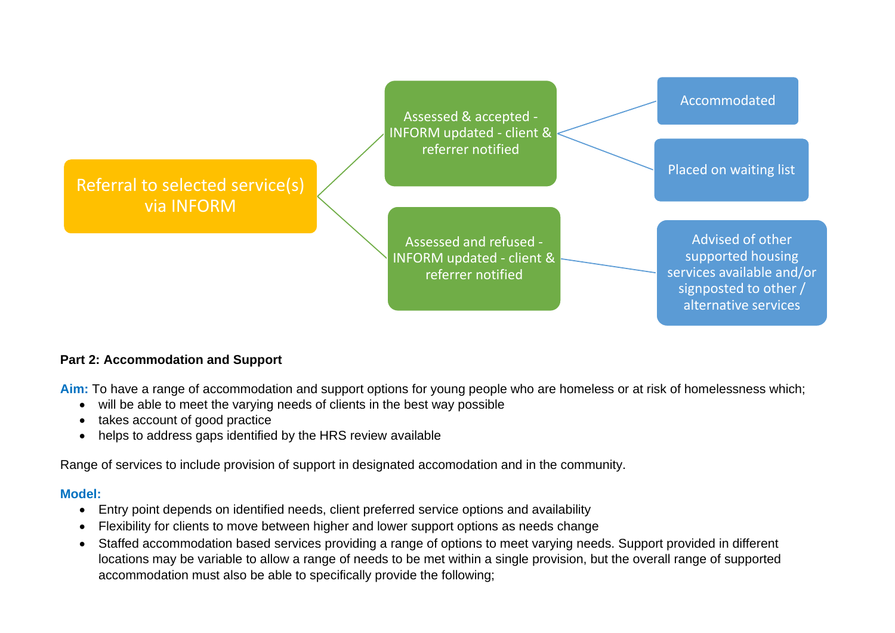

### **Part 2: Accommodation and Support**

Aim: To have a range of accommodation and support options for young people who are homeless or at risk of homelessness which;

- will be able to meet the varying needs of clients in the best way possible
- takes account of good practice
- helps to address gaps identified by the HRS review available

Range of services to include provision of support in designated accomodation and in the community.

### **Model:**

- Entry point depends on identified needs, client preferred service options and availability
- Flexibility for clients to move between higher and lower support options as needs change
- Staffed accommodation based services providing a range of options to meet varying needs. Support provided in different locations may be variable to allow a range of needs to be met within a single provision, but the overall range of supported accommodation must also be able to specifically provide the following;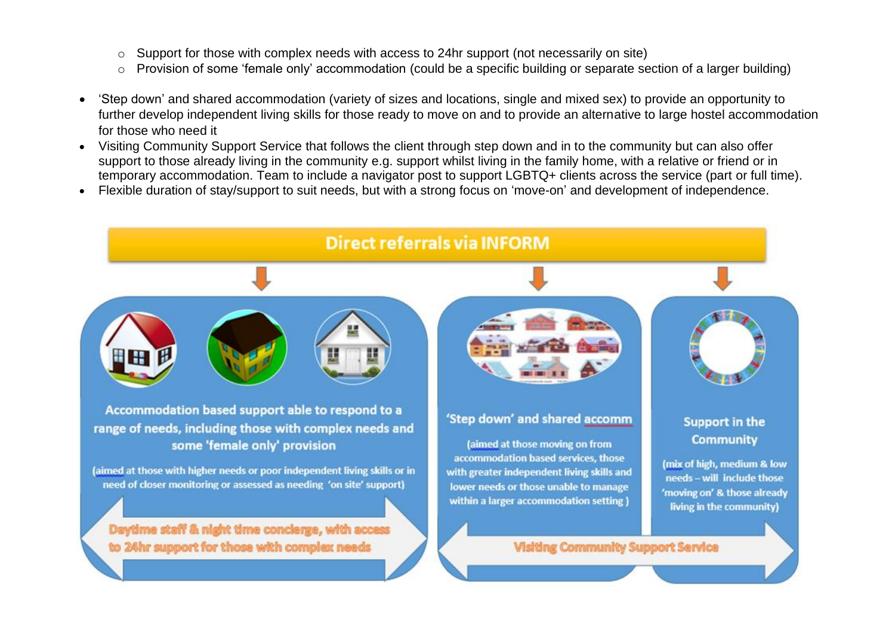- o Support for those with complex needs with access to 24hr support (not necessarily on site)
- o Provision of some 'female only' accommodation (could be a specific building or separate section of a larger building)
- 'Step down' and shared accommodation (variety of sizes and locations, single and mixed sex) to provide an opportunity to further develop independent living skills for those ready to move on and to provide an alternative to large hostel accommodation for those who need it
- Visiting Community Support Service that follows the client through step down and in to the community but can also offer support to those already living in the community e.g. support whilst living in the family home, with a relative or friend or in temporary accommodation. Team to include a navigator post to support LGBTQ+ clients across the service (part or full time).
- Flexible duration of stay/support to suit needs, but with a strong focus on 'move-on' and development of independence.

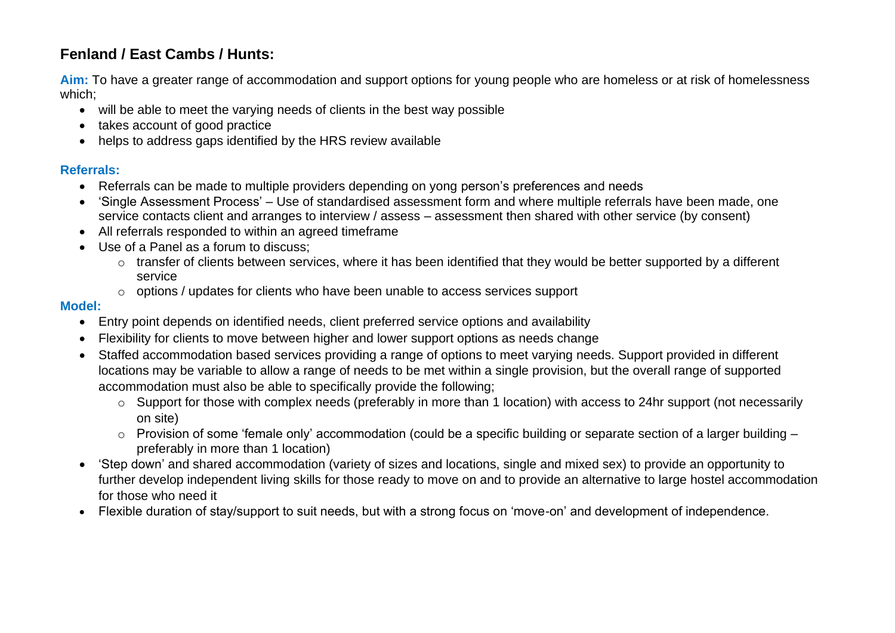# **Fenland / East Cambs / Hunts:**

**Aim:** To have a greater range of accommodation and support options for young people who are homeless or at risk of homelessness which;

- will be able to meet the varying needs of clients in the best way possible
- takes account of good practice
- helps to address gaps identified by the HRS review available

### **Referrals:**

- Referrals can be made to multiple providers depending on yong person's preferences and needs
- 'Single Assessment Process' Use of standardised assessment form and where multiple referrals have been made, one service contacts client and arranges to interview / assess – assessment then shared with other service (by consent)
- All referrals responded to within an agreed timeframe
- Use of a Panel as a forum to discuss;
	- o transfer of clients between services, where it has been identified that they would be better supported by a different service
	- $\circ$  options / updates for clients who have been unable to access services support

### **Model:**

- Entry point depends on identified needs, client preferred service options and availability
- Flexibility for clients to move between higher and lower support options as needs change
- Staffed accommodation based services providing a range of options to meet varying needs. Support provided in different locations may be variable to allow a range of needs to be met within a single provision, but the overall range of supported accommodation must also be able to specifically provide the following;
	- o Support for those with complex needs (preferably in more than 1 location) with access to 24hr support (not necessarily on site)
	- o Provision of some 'female only' accommodation (could be a specific building or separate section of a larger building preferably in more than 1 location)
- 'Step down' and shared accommodation (variety of sizes and locations, single and mixed sex) to provide an opportunity to further develop independent living skills for those ready to move on and to provide an alternative to large hostel accommodation for those who need it
- Flexible duration of stay/support to suit needs, but with a strong focus on 'move-on' and development of independence.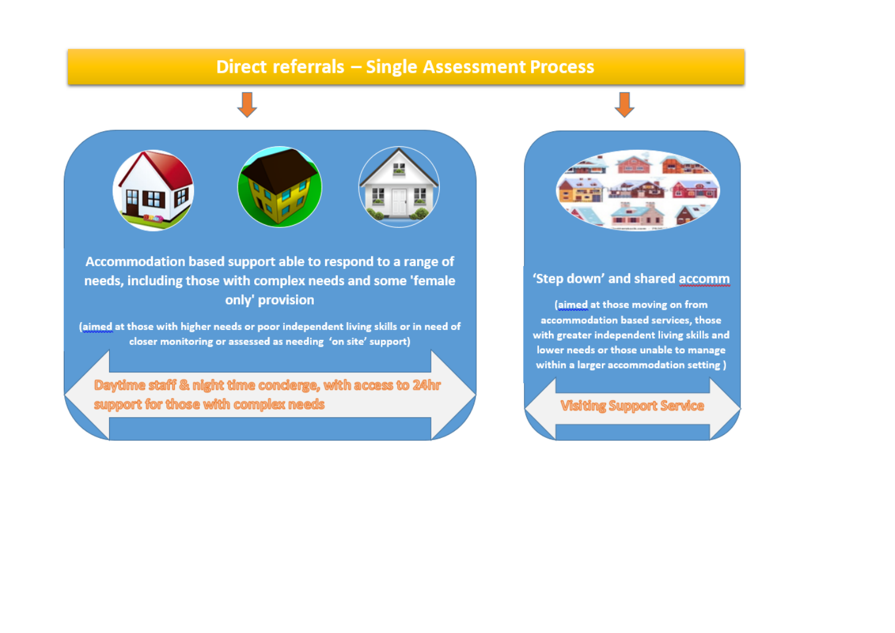# **Direct referrals - Single Assessment Process**



Accommodation based support able to respond to a range of needs, including those with complex needs and some 'female only' provision

(aimed at those with higher needs or poor independent living skills or in need of closer monitoring or assessed as needing 'on site' support)

Daytime staff & night time conderge, with access to 24hr support for those with complex needs



### 'Step down' and shared accomm

(aimed at those moving on from accommodation based services, those with greater independent living skills and lower needs or those unable to manage within a larger accommodation setting)

**Visiting Support Service**